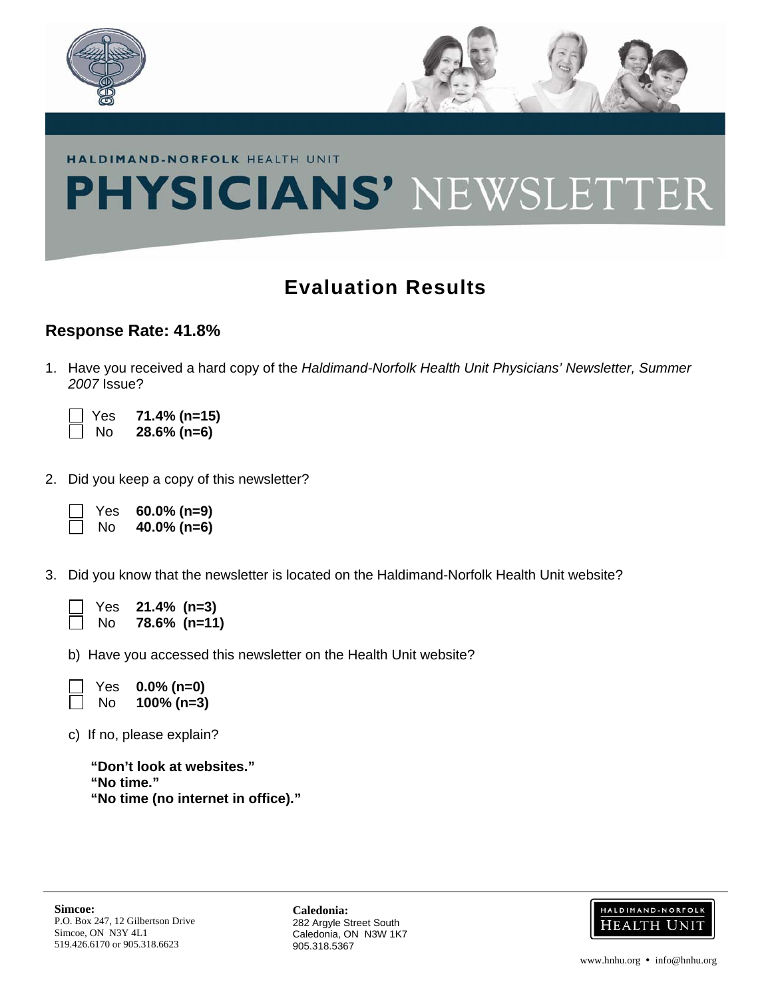

## **PHYSICIANS' NEWSLETTER**

## **Evaluation Results**

## **Response Rate: 41.8%**

1. Have you received a hard copy of the *Haldimand-Norfolk Health Unit Physicians' Newsletter, Summer 2007* Issue?

 Yes **71.4% (n=15)**  No **28.6% (n=6)** 

2. Did you keep a copy of this newsletter?

 Yes **60.0% (n=9)** No **40.0% (n=6)** 

3. Did you know that the newsletter is located on the Haldimand-Norfolk Health Unit website?

| Yes | $21.4\%$ (n=3) |              |
|-----|----------------|--------------|
| No. |                | 78.6% (n=11) |

b) Have you accessed this newsletter on the Health Unit website?

 Yes **0.0% (n=0)** No **100% (n=3)** 

c) If no, please explain?

**"Don't look at websites." "No time." "No time (no internet in office)."** 

**Caledonia:** 282 Argyle Street South Caledonia, ON N3W 1K7 905.318.5367

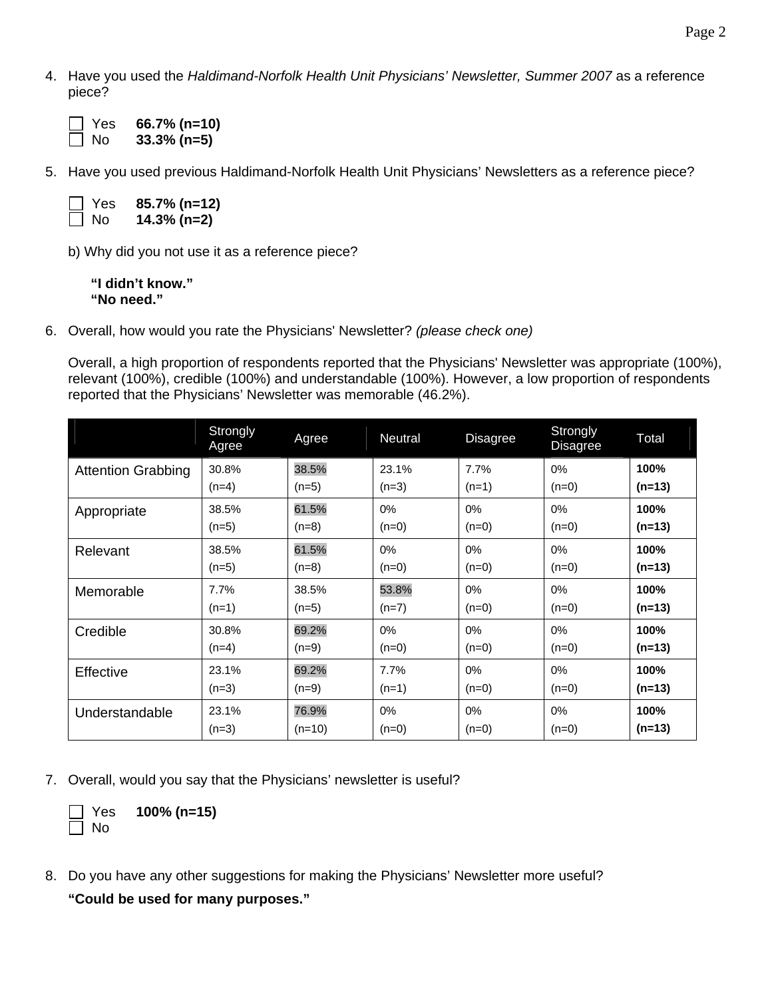4. Have you used the *Haldimand-Norfolk Health Unit Physicians' Newsletter, Summer 2007* as a reference piece?

| $\Box$ Yes | 66.7% (n=10)   |
|------------|----------------|
| $\Box$ No  | $33.3\%$ (n=5) |

5. Have you used previous Haldimand-Norfolk Health Unit Physicians' Newsletters as a reference piece?

| $\Box$ Yes | 85.7% (n=12)   |
|------------|----------------|
| $\Box$ No  | $14.3\%$ (n=2) |

b) Why did you not use it as a reference piece?

**"I didn't know." "No need."** 

6. Overall, how would you rate the Physicians' Newsletter? *(please check one)*

Overall, a high proportion of respondents reported that the Physicians' Newsletter was appropriate (100%), relevant (100%), credible (100%) and understandable (100%). However, a low proportion of respondents reported that the Physicians' Newsletter was memorable (46.2%).

|                           | Strongly<br>Agree | Agree    | Neutral | <b>Disagree</b> | Strongly<br><b>Disagree</b> | Total    |
|---------------------------|-------------------|----------|---------|-----------------|-----------------------------|----------|
| <b>Attention Grabbing</b> | 30.8%             | 38.5%    | 23.1%   | 7.7%            | 0%                          | 100%     |
|                           | $(n=4)$           | $(n=5)$  | $(n=3)$ | $(n=1)$         | $(n=0)$                     | $(n=13)$ |
| Appropriate               | 38.5%             | 61.5%    | 0%      | 0%              | 0%                          | 100%     |
|                           | $(n=5)$           | $(n=8)$  | $(n=0)$ | $(n=0)$         | $(n=0)$                     | $(n=13)$ |
| Relevant                  | 38.5%             | 61.5%    | $0\%$   | $0\%$           | 0%                          | 100%     |
|                           | $(n=5)$           | $(n=8)$  | $(n=0)$ | $(n=0)$         | $(n=0)$                     | $(n=13)$ |
| Memorable                 | 7.7%              | 38.5%    | 53.8%   | $0\%$           | 0%                          | 100%     |
|                           | $(n=1)$           | $(n=5)$  | $(n=7)$ | $(n=0)$         | $(n=0)$                     | $(n=13)$ |
| Credible                  | 30.8%             | 69.2%    | 0%      | $0\%$           | 0%                          | 100%     |
|                           | $(n=4)$           | $(n=9)$  | $(n=0)$ | $(n=0)$         | $(n=0)$                     | $(n=13)$ |
| Effective                 | 23.1%             | 69.2%    | 7.7%    | 0%              | 0%                          | 100%     |
|                           | $(n=3)$           | $(n=9)$  | $(n=1)$ | $(n=0)$         | $(n=0)$                     | $(n=13)$ |
| Understandable            | 23.1%             | 76.9%    | 0%      | 0%              | 0%                          | 100%     |
|                           | $(n=3)$           | $(n=10)$ | $(n=0)$ | $(n=0)$         | $(n=0)$                     | $(n=13)$ |

7. Overall, would you say that the Physicians' newsletter is useful?

 Yes **100% (n=15)**  No

8. Do you have any other suggestions for making the Physicians' Newsletter more useful?

**"Could be used for many purposes."**